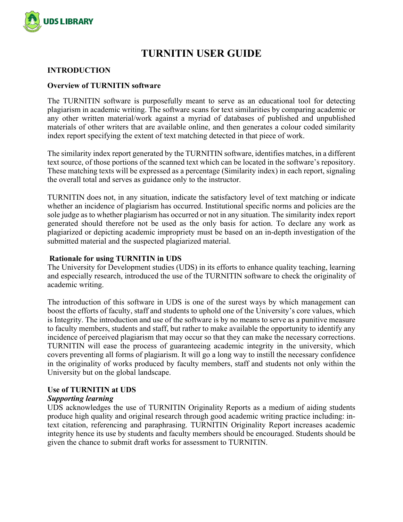

# **TURNITIN USER GUIDE**

### **INTRODUCTION**

#### **Overview of TURNITIN software**

The TURNITIN software is purposefully meant to serve as an educational tool for detecting plagiarism in academic writing. The software scans for text similarities by comparing academic or any other written material/work against a myriad of databases of published and unpublished materials of other writers that are available online, and then generates a colour coded similarity index report specifying the extent of text matching detected in that piece of work.

The similarity index report generated by the TURNITIN software, identifies matches, in a different text source, of those portions of the scanned text which can be located in the software's repository. These matching texts will be expressed as a percentage (Similarity index) in each report, signaling the overall total and serves as guidance only to the instructor.

TURNITIN does not, in any situation, indicate the satisfactory level of text matching or indicate whether an incidence of plagiarism has occurred. Institutional specific norms and policies are the sole judge as to whether plagiarism has occurred or not in any situation. The similarity index report generated should therefore not be used as the only basis for action. To declare any work as plagiarized or depicting academic impropriety must be based on an in-depth investigation of the submitted material and the suspected plagiarized material.

#### **Rationale for using TURNITIN in UDS**

The University for Development studies (UDS) in its efforts to enhance quality teaching, learning and especially research, introduced the use of the TURNITIN software to check the originality of academic writing.

The introduction of this software in UDS is one of the surest ways by which management can boost the efforts of faculty, staff and students to uphold one of the University's core values, which is Integrity. The introduction and use of the software is by no means to serve as a punitive measure to faculty members, students and staff, but rather to make available the opportunity to identify any incidence of perceived plagiarism that may occur so that they can make the necessary corrections. TURNITIN will ease the process of guaranteeing academic integrity in the university, which covers preventing all forms of plagiarism. It will go a long way to instill the necessary confidence in the originality of works produced by faculty members, staff and students not only within the University but on the global landscape.

### **Use of TURNITIN at UDS**

#### *Supporting learning*

UDS acknowledges the use of TURNITIN Originality Reports as a medium of aiding students produce high quality and original research through good academic writing practice including: intext citation, referencing and paraphrasing. TURNITIN Originality Report increases academic integrity hence its use by students and faculty members should be encouraged. Students should be given the chance to submit draft works for assessment to TURNITIN.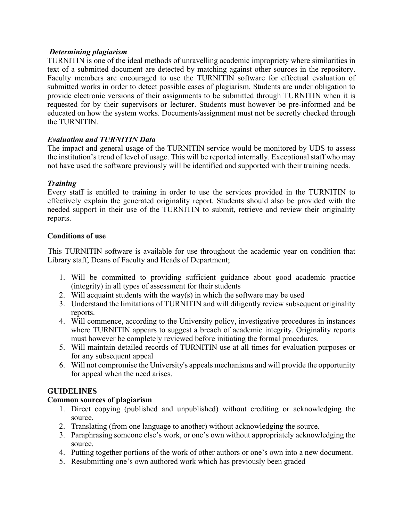# *Determining plagiarism*

TURNITIN is one of the ideal methods of unravelling academic impropriety where similarities in text of a submitted document are detected by matching against other sources in the repository. Faculty members are encouraged to use the TURNITIN software for effectual evaluation of submitted works in order to detect possible cases of plagiarism. Students are under obligation to provide electronic versions of their assignments to be submitted through TURNITIN when it is requested for by their supervisors or lecturer. Students must however be pre-informed and be educated on how the system works. Documents/assignment must not be secretly checked through the TURNITIN.

# *Evaluation and TURNITIN Data*

The impact and general usage of the TURNITIN service would be monitored by UDS to assess the institution's trend of level of usage. This will be reported internally. Exceptional staff who may not have used the software previously will be identified and supported with their training needs.

# *Training*

Every staff is entitled to training in order to use the services provided in the TURNITIN to effectively explain the generated originality report. Students should also be provided with the needed support in their use of the TURNITIN to submit, retrieve and review their originality reports.

# **Conditions of use**

This TURNITIN software is available for use throughout the academic year on condition that Library staff, Deans of Faculty and Heads of Department;

- 1. Will be committed to providing sufficient guidance about good academic practice (integrity) in all types of assessment for their students
- 2. Will acquaint students with the way(s) in which the software may be used
- 3. Understand the limitations of TURNITIN and will diligently review subsequent originality reports.
- 4. Will commence, according to the University policy, investigative procedures in instances where TURNITIN appears to suggest a breach of academic integrity. Originality reports must however be completely reviewed before initiating the formal procedures.
- 5. Will maintain detailed records of TURNITIN use at all times for evaluation purposes or for any subsequent appeal
- 6. Will not compromise the University's appeals mechanisms and will provide the opportunity for appeal when the need arises.

# **GUIDELINES**

# **Common sources of plagiarism**

- 1. Direct copying (published and unpublished) without crediting or acknowledging the source.
- 2. Translating (from one language to another) without acknowledging the source.
- 3. Paraphrasing someone else's work, or one's own without appropriately acknowledging the source.
- 4. Putting together portions of the work of other authors or one's own into a new document.
- 5. Resubmitting one's own authored work which has previously been graded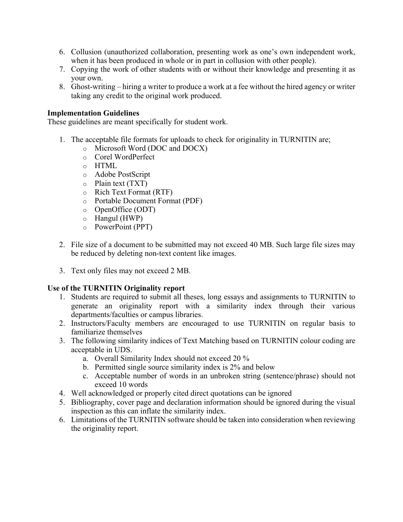- 6. Collusion (unauthorized collaboration, presenting work as one's own independent work, when it has been produced in whole or in part in collusion with other people).
- 7. Copying the work of other students with or without their knowledge and presenting it as your own.
- 8. Ghost-writing hiring a writer to produce a work at a fee without the hired agency or writer taking any credit to the original work produced.

# **Implementation Guidelines**

These guidelines are meant specifically for student work.

- 1. The acceptable file formats for uploads to check for originality in TURNITIN are;
	- o Microsoft Word (DOC and DOCX)
	- o Corel WordPerfect
	- o HTML
	- o Adobe PostScript
	- o Plain text (TXT)
	- o Rich Text Format (RTF)
	- o Portable Document Format (PDF)
	- o OpenOffice (ODT)
	- o Hangul (HWP)
	- o PowerPoint (PPT)
- 2. File size of a document to be submitted may not exceed 40 MB. Such large file sizes may be reduced by deleting non-text content like images.
- 3. Text only files may not exceed 2 MB.

### **Use of the TURNITIN Originality report**

- 1. Students are required to submit all theses, long essays and assignments to TURNITIN to generate an originality report with a similarity index through their various departments/faculties or campus libraries.
- 2. Instructors/Faculty members are encouraged to use TURNITIN on regular basis to familiarize themselves
- 3. The following similarity indices of Text Matching based on TURNITIN colour coding are acceptable in UDS.
	- a. Overall Similarity Index should not exceed 20 %
	- b. Permitted single source similarity index is 2% and below
	- c. Acceptable number of words in an unbroken string (sentence/phrase) should not exceed 10 words
- 4. Well acknowledged or properly cited direct quotations can be ignored
- 5. Bibliography, cover page and declaration information should be ignored during the visual inspection as this can inflate the similarity index.
- 6. Limitations of the TURNITIN software should be taken into consideration when reviewing the originality report.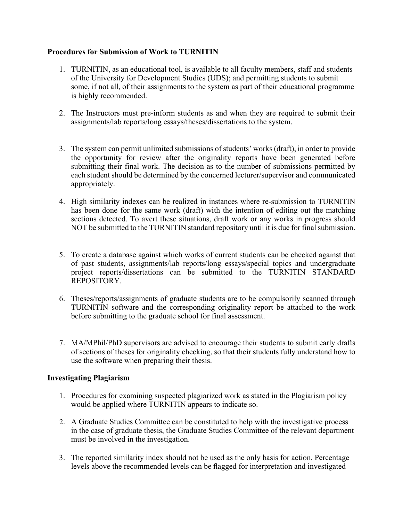# **Procedures for Submission of Work to TURNITIN**

- 1. TURNITIN, as an educational tool, is available to all faculty members, staff and students of the University for Development Studies (UDS); and permitting students to submit some, if not all, of their assignments to the system as part of their educational programme is highly recommended.
- 2. The Instructors must pre-inform students as and when they are required to submit their assignments/lab reports/long essays/theses/dissertations to the system.
- 3. The system can permit unlimited submissions of students' works (draft), in order to provide the opportunity for review after the originality reports have been generated before submitting their final work. The decision as to the number of submissions permitted by each student should be determined by the concerned lecturer/supervisor and communicated appropriately.
- 4. High similarity indexes can be realized in instances where re-submission to TURNITIN has been done for the same work (draft) with the intention of editing out the matching sections detected. To avert these situations, draft work or any works in progress should NOT be submitted to the TURNITIN standard repository until it is due for final submission.
- 5. To create a database against which works of current students can be checked against that of past students, assignments/lab reports/long essays/special topics and undergraduate project reports/dissertations can be submitted to the TURNITIN STANDARD REPOSITORY.
- 6. Theses/reports/assignments of graduate students are to be compulsorily scanned through TURNITIN software and the corresponding originality report be attached to the work before submitting to the graduate school for final assessment.
- 7. MA/MPhil/PhD supervisors are advised to encourage their students to submit early drafts of sections of theses for originality checking, so that their students fully understand how to use the software when preparing their thesis.

# **Investigating Plagiarism**

- 1. Procedures for examining suspected plagiarized work as stated in the Plagiarism policy would be applied where TURNITIN appears to indicate so.
- 2. A Graduate Studies Committee can be constituted to help with the investigative process in the case of graduate thesis, the Graduate Studies Committee of the relevant department must be involved in the investigation.
- 3. The reported similarity index should not be used as the only basis for action. Percentage levels above the recommended levels can be flagged for interpretation and investigated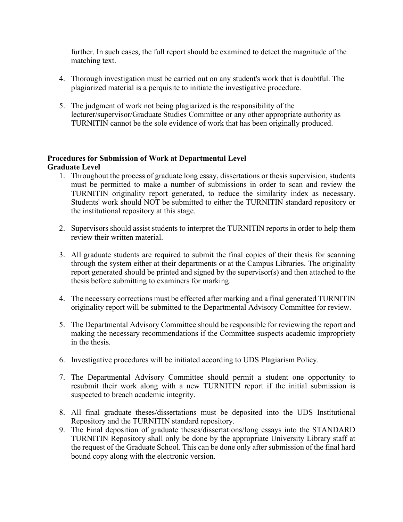further. In such cases, the full report should be examined to detect the magnitude of the matching text.

- 4. Thorough investigation must be carried out on any student's work that is doubtful. The plagiarized material is a perquisite to initiate the investigative procedure.
- 5. The judgment of work not being plagiarized is the responsibility of the lecturer/supervisor/Graduate Studies Committee or any other appropriate authority as TURNITIN cannot be the sole evidence of work that has been originally produced.

# **Procedures for Submission of Work at Departmental Level Graduate Level**

- 1. Throughout the process of graduate long essay, dissertations or thesis supervision, students must be permitted to make a number of submissions in order to scan and review the TURNITIN originality report generated, to reduce the similarity index as necessary. Students' work should NOT be submitted to either the TURNITIN standard repository or the institutional repository at this stage.
- 2. Supervisors should assist students to interpret the TURNITIN reports in order to help them review their written material.
- 3. All graduate students are required to submit the final copies of their thesis for scanning through the system either at their departments or at the Campus Libraries. The originality report generated should be printed and signed by the supervisor(s) and then attached to the thesis before submitting to examiners for marking.
- 4. The necessary corrections must be effected after marking and a final generated TURNITIN originality report will be submitted to the Departmental Advisory Committee for review.
- 5. The Departmental Advisory Committee should be responsible for reviewing the report and making the necessary recommendations if the Committee suspects academic impropriety in the thesis.
- 6. Investigative procedures will be initiated according to UDS Plagiarism Policy.
- 7. The Departmental Advisory Committee should permit a student one opportunity to resubmit their work along with a new TURNITIN report if the initial submission is suspected to breach academic integrity.
- 8. All final graduate theses/dissertations must be deposited into the UDS Institutional Repository and the TURNITIN standard repository.
- 9. The Final deposition of graduate theses/dissertations/long essays into the STANDARD TURNITIN Repository shall only be done by the appropriate University Library staff at the request of the Graduate School. This can be done only after submission of the final hard bound copy along with the electronic version.